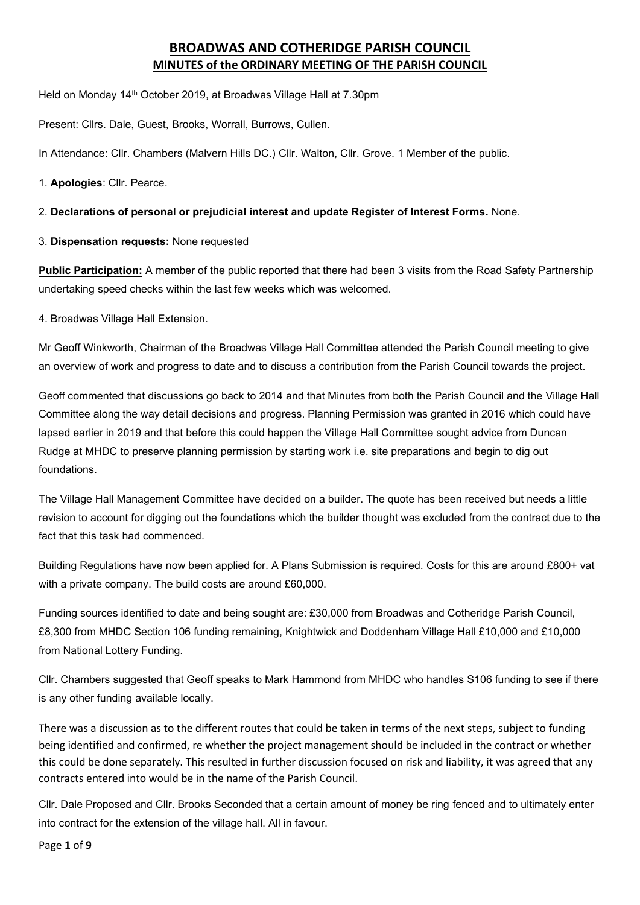# **BROADWAS AND COTHERIDGE PARISH COUNCIL MINUTES of the ORDINARY MEETING OF THE PARISH COUNCIL**

Held on Monday 14<sup>th</sup> October 2019, at Broadwas Village Hall at 7.30pm

Present: Cllrs. Dale, Guest, Brooks, Worrall, Burrows, Cullen.

In Attendance: Cllr. Chambers (Malvern Hills DC.) Cllr. Walton, Cllr. Grove. 1 Member of the public.

1. **Apologies**: Cllr. Pearce.

### 2. **Declarations of personal or prejudicial interest and update Register of Interest Forms.** None.

3. **Dispensation requests:** None requested

**Public Participation:** A member of the public reported that there had been 3 visits from the Road Safety Partnership undertaking speed checks within the last few weeks which was welcomed.

4. Broadwas Village Hall Extension.

Mr Geoff Winkworth, Chairman of the Broadwas Village Hall Committee attended the Parish Council meeting to give an overview of work and progress to date and to discuss a contribution from the Parish Council towards the project.

Geoff commented that discussions go back to 2014 and that Minutes from both the Parish Council and the Village Hall Committee along the way detail decisions and progress. Planning Permission was granted in 2016 which could have lapsed earlier in 2019 and that before this could happen the Village Hall Committee sought advice from Duncan Rudge at MHDC to preserve planning permission by starting work i.e. site preparations and begin to dig out foundations.

The Village Hall Management Committee have decided on a builder. The quote has been received but needs a little revision to account for digging out the foundations which the builder thought was excluded from the contract due to the fact that this task had commenced.

Building Regulations have now been applied for. A Plans Submission is required. Costs for this are around £800+ vat with a private company. The build costs are around £60,000.

Funding sources identified to date and being sought are: £30,000 from Broadwas and Cotheridge Parish Council, £8,300 from MHDC Section 106 funding remaining, Knightwick and Doddenham Village Hall £10,000 and £10,000 from National Lottery Funding.

Cllr. Chambers suggested that Geoff speaks to Mark Hammond from MHDC who handles S106 funding to see if there is any other funding available locally.

There was a discussion as to the different routes that could be taken in terms of the next steps, subject to funding being identified and confirmed, re whether the project management should be included in the contract or whether this could be done separately. This resulted in further discussion focused on risk and liability, it was agreed that any contracts entered into would be in the name of the Parish Council.

Cllr. Dale Proposed and Cllr. Brooks Seconded that a certain amount of money be ring fenced and to ultimately enter into contract for the extension of the village hall. All in favour.

Page **1** of **9**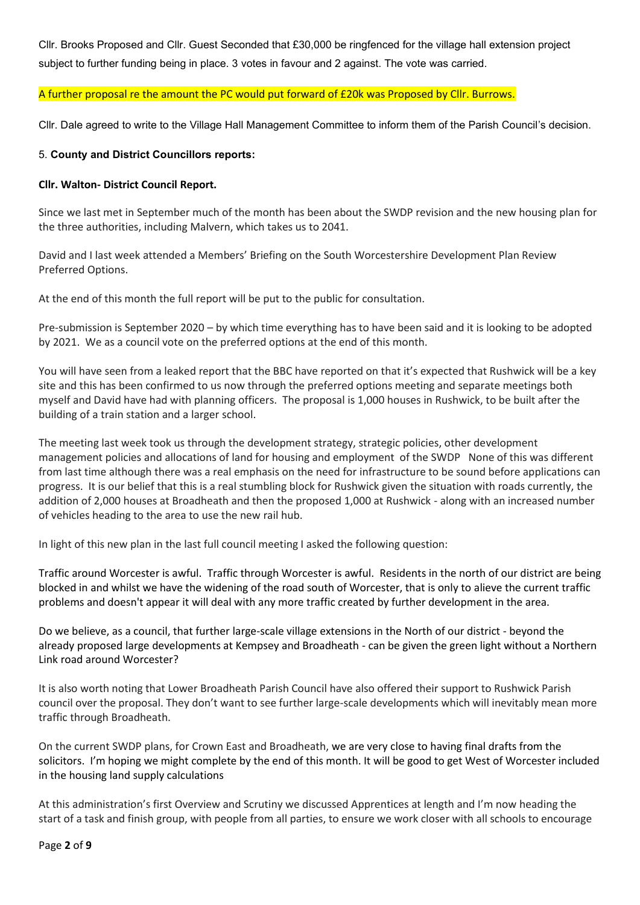Cllr. Brooks Proposed and Cllr. Guest Seconded that £30,000 be ringfenced for the village hall extension project subject to further funding being in place. 3 votes in favour and 2 against. The vote was carried.

### A further proposal re the amount the PC would put forward of £20k was Proposed by Cllr. Burrows.

Cllr. Dale agreed to write to the Village Hall Management Committee to inform them of the Parish Council's decision.

### 5. **County and District Councillors reports:**

#### **Cllr. Walton- District Council Report.**

Since we last met in September much of the month has been about the SWDP revision and the new housing plan for the three authorities, including Malvern, which takes us to 2041.

David and I last week attended a Members' Briefing on the South Worcestershire Development Plan Review Preferred Options.

At the end of this month the full report will be put to the public for consultation.

Pre-submission is September 2020 – by which time everything has to have been said and it is looking to be adopted by 2021. We as a council vote on the preferred options at the end of this month.

You will have seen from a leaked report that the BBC have reported on that it's expected that Rushwick will be a key site and this has been confirmed to us now through the preferred options meeting and separate meetings both myself and David have had with planning officers. The proposal is 1,000 houses in Rushwick, to be built after the building of a train station and a larger school.

The meeting last week took us through the development strategy, strategic policies, other development management policies and allocations of land for housing and employment of the SWDP None of this was different from last time although there was a real emphasis on the need for infrastructure to be sound before applications can progress. It is our belief that this is a real stumbling block for Rushwick given the situation with roads currently, the addition of 2,000 houses at Broadheath and then the proposed 1,000 at Rushwick - along with an increased number of vehicles heading to the area to use the new rail hub.

In light of this new plan in the last full council meeting I asked the following question:

Traffic around Worcester is awful. Traffic through Worcester is awful. Residents in the north of our district are being blocked in and whilst we have the widening of the road south of Worcester, that is only to alieve the current traffic problems and doesn't appear it will deal with any more traffic created by further development in the area.

Do we believe, as a council, that further large-scale village extensions in the North of our district - beyond the already proposed large developments at Kempsey and Broadheath - can be given the green light without a Northern Link road around Worcester?

It is also worth noting that Lower Broadheath Parish Council have also offered their support to Rushwick Parish council over the proposal. They don't want to see further large-scale developments which will inevitably mean more traffic through Broadheath.

On the current SWDP plans, for Crown East and Broadheath, we are very close to having final drafts from the solicitors. I'm hoping we might complete by the end of this month. It will be good to get West of Worcester included in the housing land supply calculations

At this administration's first Overview and Scrutiny we discussed Apprentices at length and I'm now heading the start of a task and finish group, with people from all parties, to ensure we work closer with all schools to encourage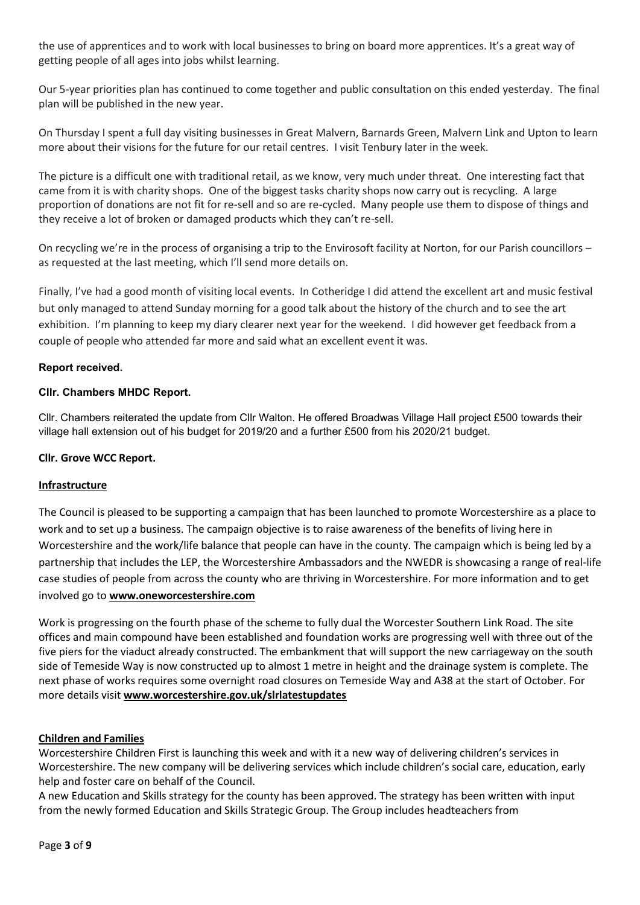the use of apprentices and to work with local businesses to bring on board more apprentices. It's a great way of getting people of all ages into jobs whilst learning.

Our 5-year priorities plan has continued to come together and public consultation on this ended yesterday. The final plan will be published in the new year.

On Thursday I spent a full day visiting businesses in Great Malvern, Barnards Green, Malvern Link and Upton to learn more about their visions for the future for our retail centres. I visit Tenbury later in the week.

The picture is a difficult one with traditional retail, as we know, very much under threat. One interesting fact that came from it is with charity shops. One of the biggest tasks charity shops now carry out is recycling. A large proportion of donations are not fit for re-sell and so are re-cycled. Many people use them to dispose of things and they receive a lot of broken or damaged products which they can't re-sell.

On recycling we're in the process of organising a trip to the Envirosoft facility at Norton, for our Parish councillors – as requested at the last meeting, which I'll send more details on.

Finally, I've had a good month of visiting local events. In Cotheridge I did attend the excellent art and music festival but only managed to attend Sunday morning for a good talk about the history of the church and to see the art exhibition. I'm planning to keep my diary clearer next year for the weekend. I did however get feedback from a couple of people who attended far more and said what an excellent event it was.

### **Report received.**

### **Cllr. Chambers MHDC Report.**

Cllr. Chambers reiterated the update from Cllr Walton. He offered Broadwas Village Hall project £500 towards their village hall extension out of his budget for 2019/20 and a further £500 from his 2020/21 budget.

#### **Cllr. Grove WCC Report.**

#### **Infrastructure**

The Council is pleased to be supporting a campaign that has been launched to promote Worcestershire as a place to work and to set up a business. The campaign objective is to raise awareness of the benefits of living here in Worcestershire and the work/life balance that people can have in the county. The campaign which is being led by a partnership that includes the LEP, the Worcestershire Ambassadors and the NWEDR is showcasing a range of real-life case studies of people from across the county who are thriving in Worcestershire. For more information and to get involved go to **[www.oneworcestershire.com](http://www.oneworcestershire.com/)**

Work is progressing on the fourth phase of the scheme to fully dual the Worcester Southern Link Road. The site offices and main compound have been established and foundation works are progressing well with three out of the five piers for the viaduct already constructed. The embankment that will support the new carriageway on the south side of Temeside Way is now constructed up to almost 1 metre in height and the drainage system is complete. The next phase of works requires some overnight road closures on Temeside Way and A38 at the start of October. For more details visit **[www.worcestershire.gov.uk/slrlatestupdates](http://www.worcestershire.gov.uk/slrlatestupdates)**

#### **Children and Families**

Worcestershire Children First is launching this week and with it a new way of delivering children's services in Worcestershire. The new company will be delivering services which include children's social care, education, early help and foster care on behalf of the Council.

A new Education and Skills strategy for the county has been approved. The strategy has been written with input from the newly formed Education and Skills Strategic Group. The Group includes headteachers from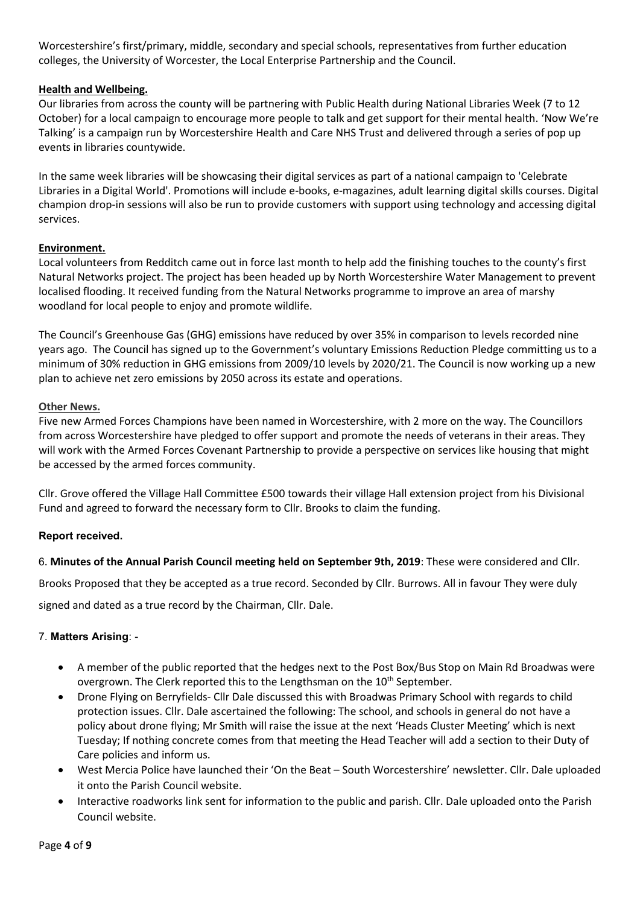Worcestershire's first/primary, middle, secondary and special schools, representatives from further education colleges, the University of Worcester, the Local Enterprise Partnership and the Council.

### **Health and Wellbeing.**

Our libraries from across the county will be partnering with Public Health during National Libraries Week (7 to 12 October) for a local campaign to encourage more people to talk and get support for their mental health. 'Now We're Talking' is a campaign run by Worcestershire Health and Care NHS Trust and delivered through a series of pop up events in libraries countywide.

In the same week libraries will be showcasing their digital services as part of a national campaign to 'Celebrate Libraries in a Digital World'. Promotions will include e-books, e-magazines, adult learning digital skills courses. Digital champion drop-in sessions will also be run to provide customers with support using technology and accessing digital services.

### **Environment.**

Local volunteers from Redditch came out in force last month to help add the finishing touches to the county's first Natural Networks project. The project has been headed up by North Worcestershire Water Management to prevent localised flooding. It received funding from the Natural Networks programme to improve an area of marshy woodland for local people to enjoy and promote wildlife.

The Council's Greenhouse Gas (GHG) emissions have reduced by over 35% in comparison to levels recorded nine years ago. The Council has signed up to the Government's voluntary Emissions Reduction Pledge committing us to a minimum of 30% reduction in GHG emissions from 2009/10 levels by 2020/21. The Council is now working up a new plan to achieve net zero emissions by 2050 across its estate and operations.

### **Other News.**

Five new Armed Forces Champions have been named in Worcestershire, with 2 more on the way. The Councillors from across Worcestershire have pledged to offer support and promote the needs of veterans in their areas. They will work with the Armed Forces Covenant Partnership to provide a perspective on services like housing that might be accessed by the armed forces community.

Cllr. Grove offered the Village Hall Committee £500 towards their village Hall extension project from his Divisional Fund and agreed to forward the necessary form to Cllr. Brooks to claim the funding.

#### **Report received.**

#### 6. **Minutes of the Annual Parish Council meeting held on September 9th, 2019**: These were considered and Cllr.

Brooks Proposed that they be accepted as a true record. Seconded by Cllr. Burrows. All in favour They were duly

signed and dated as a true record by the Chairman, Cllr. Dale.

### 7. **Matters Arising**: -

- A member of the public reported that the hedges next to the Post Box/Bus Stop on Main Rd Broadwas were overgrown. The Clerk reported this to the Lengthsman on the 10<sup>th</sup> September.
- Drone Flying on Berryfields- Cllr Dale discussed this with Broadwas Primary School with regards to child protection issues. Cllr. Dale ascertained the following: The school, and schools in general do not have a policy about drone flying; Mr Smith will raise the issue at the next 'Heads Cluster Meeting' which is next Tuesday; If nothing concrete comes from that meeting the Head Teacher will add a section to their Duty of Care policies and inform us.
- West Mercia Police have launched their 'On the Beat South Worcestershire' newsletter. Cllr. Dale uploaded it onto the Parish Council website.
- Interactive roadworks link sent for information to the public and parish. Cllr. Dale uploaded onto the Parish Council website.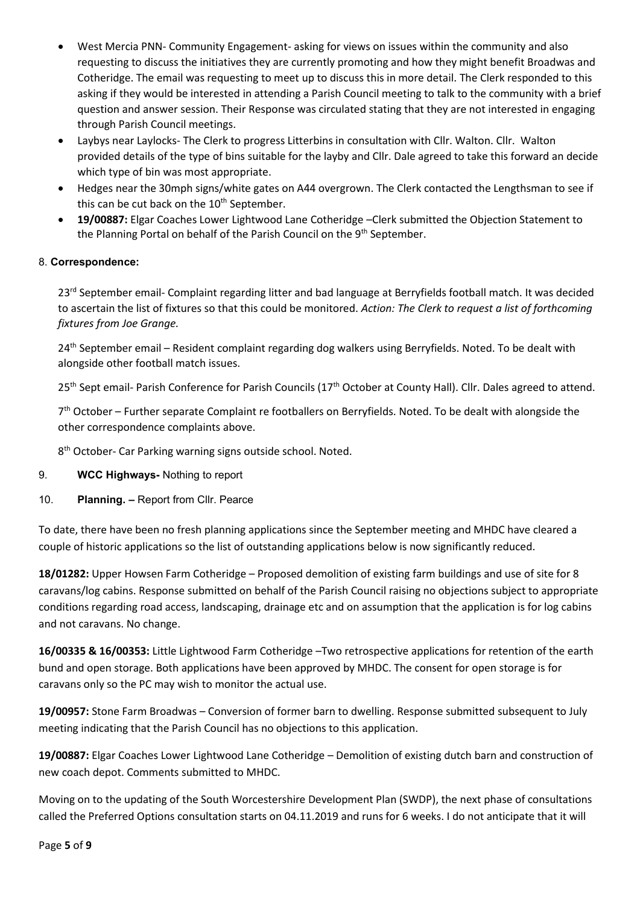- West Mercia PNN- Community Engagement- asking for views on issues within the community and also requesting to discuss the initiatives they are currently promoting and how they might benefit Broadwas and Cotheridge. The email was requesting to meet up to discuss this in more detail. The Clerk responded to this asking if they would be interested in attending a Parish Council meeting to talk to the community with a brief question and answer session. Their Response was circulated stating that they are not interested in engaging through Parish Council meetings.
- Laybys near Laylocks- The Clerk to progress Litterbins in consultation with Cllr. Walton. Cllr. Walton provided details of the type of bins suitable for the layby and Cllr. Dale agreed to take this forward an decide which type of bin was most appropriate.
- Hedges near the 30mph signs/white gates on A44 overgrown. The Clerk contacted the Lengthsman to see if this can be cut back on the 10<sup>th</sup> September.
- **19/00887:** Elgar Coaches Lower Lightwood Lane Cotheridge –Clerk submitted the Objection Statement to the Planning Portal on behalf of the Parish Council on the 9<sup>th</sup> September.

### 8. **Correspondence:**

23<sup>rd</sup> September email- Complaint regarding litter and bad language at Berryfields football match. It was decided to ascertain the list of fixtures so that this could be monitored. *Action: The Clerk to request a list of forthcoming fixtures from Joe Grange.*

24<sup>th</sup> September email – Resident complaint regarding dog walkers using Berryfields. Noted. To be dealt with alongside other football match issues.

25<sup>th</sup> Sept email- Parish Conference for Parish Councils (17<sup>th</sup> October at County Hall). Cllr. Dales agreed to attend.

7<sup>th</sup> October – Further separate Complaint re footballers on Berryfields. Noted. To be dealt with alongside the other correspondence complaints above.

8<sup>th</sup> October- Car Parking warning signs outside school. Noted.

- 9. **WCC Highways-** Nothing to report
- 10. **Planning. –** Report from Cllr. Pearce

To date, there have been no fresh planning applications since the September meeting and MHDC have cleared a couple of historic applications so the list of outstanding applications below is now significantly reduced.

**18/01282:** Upper Howsen Farm Cotheridge – Proposed demolition of existing farm buildings and use of site for 8 caravans/log cabins. Response submitted on behalf of the Parish Council raising no objections subject to appropriate conditions regarding road access, landscaping, drainage etc and on assumption that the application is for log cabins and not caravans. No change.

**16/00335 & 16/00353:** Little Lightwood Farm Cotheridge –Two retrospective applications for retention of the earth bund and open storage. Both applications have been approved by MHDC. The consent for open storage is for caravans only so the PC may wish to monitor the actual use.

**19/00957:** Stone Farm Broadwas – Conversion of former barn to dwelling. Response submitted subsequent to July meeting indicating that the Parish Council has no objections to this application.

**19/00887:** Elgar Coaches Lower Lightwood Lane Cotheridge – Demolition of existing dutch barn and construction of new coach depot. Comments submitted to MHDC.

Moving on to the updating of the South Worcestershire Development Plan (SWDP), the next phase of consultations called the Preferred Options consultation starts on 04.11.2019 and runs for 6 weeks. I do not anticipate that it will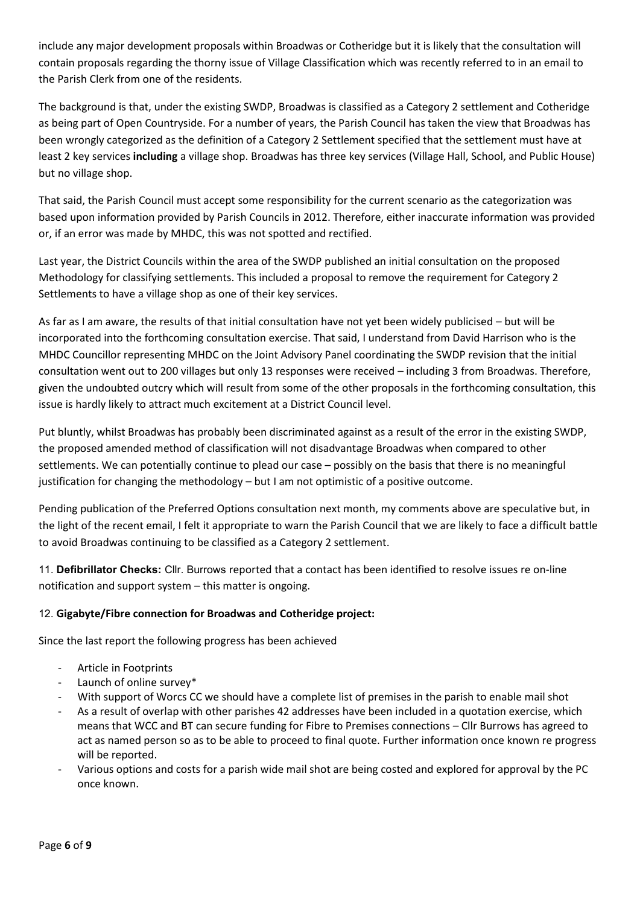include any major development proposals within Broadwas or Cotheridge but it is likely that the consultation will contain proposals regarding the thorny issue of Village Classification which was recently referred to in an email to the Parish Clerk from one of the residents.

The background is that, under the existing SWDP, Broadwas is classified as a Category 2 settlement and Cotheridge as being part of Open Countryside. For a number of years, the Parish Council has taken the view that Broadwas has been wrongly categorized as the definition of a Category 2 Settlement specified that the settlement must have at least 2 key services **including** a village shop. Broadwas has three key services (Village Hall, School, and Public House) but no village shop.

That said, the Parish Council must accept some responsibility for the current scenario as the categorization was based upon information provided by Parish Councils in 2012. Therefore, either inaccurate information was provided or, if an error was made by MHDC, this was not spotted and rectified.

Last year, the District Councils within the area of the SWDP published an initial consultation on the proposed Methodology for classifying settlements. This included a proposal to remove the requirement for Category 2 Settlements to have a village shop as one of their key services.

As far as I am aware, the results of that initial consultation have not yet been widely publicised – but will be incorporated into the forthcoming consultation exercise. That said, I understand from David Harrison who is the MHDC Councillor representing MHDC on the Joint Advisory Panel coordinating the SWDP revision that the initial consultation went out to 200 villages but only 13 responses were received – including 3 from Broadwas. Therefore, given the undoubted outcry which will result from some of the other proposals in the forthcoming consultation, this issue is hardly likely to attract much excitement at a District Council level.

Put bluntly, whilst Broadwas has probably been discriminated against as a result of the error in the existing SWDP, the proposed amended method of classification will not disadvantage Broadwas when compared to other settlements. We can potentially continue to plead our case – possibly on the basis that there is no meaningful justification for changing the methodology – but I am not optimistic of a positive outcome.

Pending publication of the Preferred Options consultation next month, my comments above are speculative but, in the light of the recent email, I felt it appropriate to warn the Parish Council that we are likely to face a difficult battle to avoid Broadwas continuing to be classified as a Category 2 settlement.

11. **Defibrillator Checks:** Cllr. Burrows reported that a contact has been identified to resolve issues re on-line notification and support system – this matter is ongoing.

### 12. **Gigabyte/Fibre connection for Broadwas and Cotheridge project:**

Since the last report the following progress has been achieved

- Article in Footprints
- Launch of online survey\*
- With support of Worcs CC we should have a complete list of premises in the parish to enable mail shot
- As a result of overlap with other parishes 42 addresses have been included in a quotation exercise, which means that WCC and BT can secure funding for Fibre to Premises connections – Cllr Burrows has agreed to act as named person so as to be able to proceed to final quote. Further information once known re progress will be reported.
- Various options and costs for a parish wide mail shot are being costed and explored for approval by the PC once known.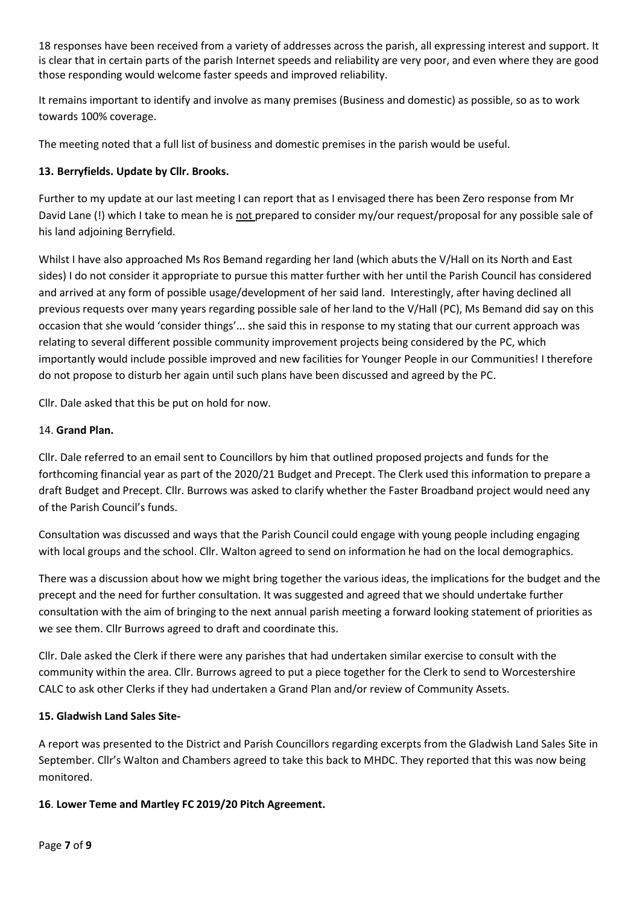18 responses have been received from a variety of addresses across the parish, all expressing interest and support. It is clear that in certain parts of the parish Internet speeds and reliability are very poor, and even where they are good those responding would welcome faster speeds and improved reliability.

It remains important to identify and involve as many premises (Business and domestic) as possible, so as to work towards 100% coverage.

The meeting noted that a full list of business and domestic premises in the parish would be useful.

### **13. Berryfields. Update by Cllr. Brooks.**

Further to my update at our last meeting I can report that as I envisaged there has been Zero response from Mr David Lane (!) which I take to mean he is not prepared to consider my/our request/proposal for any possible sale of his land adjoining Berryfield.

Whilst I have also approached Ms Ros Bemand regarding her land (which abuts the V/Hall on its North and East sides) I do not consider it appropriate to pursue this matter further with her until the Parish Council has considered and arrived at any form of possible usage/development of her said land. Interestingly, after having declined all previous requests over many years regarding possible sale of her land to the V/Hall (PC), Ms Bemand did say on this occasion that she would 'consider things'... she said this in response to my stating that our current approach was relating to several different possible community improvement projects being considered by the PC, which importantly would include possible improved and new facilities for Younger People in our Communities! I therefore do not propose to disturb her again until such plans have been discussed and agreed by the PC.

Cllr. Dale asked that this be put on hold for now.

### 14. **Grand Plan.**

Cllr. Dale referred to an email sent to Councillors by him that outlined proposed projects and funds for the forthcoming financial year as part of the 2020/21 Budget and Precept. The Clerk used this information to prepare a draft Budget and Precept. Cllr. Burrows was asked to clarify whether the Faster Broadband project would need any of the Parish Council's funds.

Consultation was discussed and ways that the Parish Council could engage with young people including engaging with local groups and the school. Cllr. Walton agreed to send on information he had on the local demographics.

There was a discussion about how we might bring together the various ideas, the implications for the budget and the precept and the need for further consultation. It was suggested and agreed that we should undertake further consultation with the aim of bringing to the next annual parish meeting a forward looking statement of priorities as we see them. Cllr Burrows agreed to draft and coordinate this.

Cllr. Dale asked the Clerk if there were any parishes that had undertaken similar exercise to consult with the community within the area. Cllr. Burrows agreed to put a piece together for the Clerk to send to Worcestershire CALC to ask other Clerks if they had undertaken a Grand Plan and/or review of Community Assets.

### **15. Gladwish Land Sales Site-**

A report was presented to the District and Parish Councillors regarding excerpts from the Gladwish Land Sales Site in September. Cllr's Walton and Chambers agreed to take this back to MHDC. They reported that this was now being monitored.

### **16**. **Lower Teme and Martley FC 2019/20 Pitch Agreement.**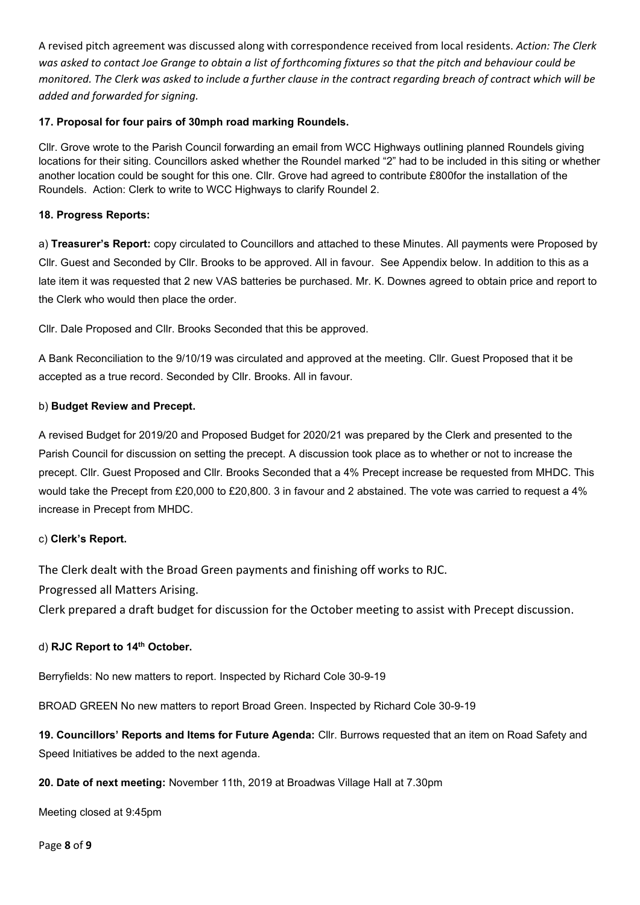A revised pitch agreement was discussed along with correspondence received from local residents. *Action: The Clerk was asked to contact Joe Grange to obtain a list of forthcoming fixtures so that the pitch and behaviour could be monitored. The Clerk was asked to include a further clause in the contract regarding breach of contract which will be added and forwarded for signing.*

### **17. Proposal for four pairs of 30mph road marking Roundels.**

Cllr. Grove wrote to the Parish Council forwarding an email from WCC Highways outlining planned Roundels giving locations for their siting. Councillors asked whether the Roundel marked "2" had to be included in this siting or whether another location could be sought for this one. Cllr. Grove had agreed to contribute £800for the installation of the Roundels. Action: Clerk to write to WCC Highways to clarify Roundel 2.

#### **18. Progress Reports:**

a) **Treasurer's Report:** copy circulated to Councillors and attached to these Minutes. All payments were Proposed by Cllr. Guest and Seconded by Cllr. Brooks to be approved. All in favour. See Appendix below. In addition to this as a late item it was requested that 2 new VAS batteries be purchased. Mr. K. Downes agreed to obtain price and report to the Clerk who would then place the order.

Cllr. Dale Proposed and Cllr. Brooks Seconded that this be approved.

A Bank Reconciliation to the 9/10/19 was circulated and approved at the meeting. Cllr. Guest Proposed that it be accepted as a true record. Seconded by Cllr. Brooks. All in favour.

#### b) **Budget Review and Precept.**

A revised Budget for 2019/20 and Proposed Budget for 2020/21 was prepared by the Clerk and presented to the Parish Council for discussion on setting the precept. A discussion took place as to whether or not to increase the precept. Cllr. Guest Proposed and Cllr. Brooks Seconded that a 4% Precept increase be requested from MHDC. This would take the Precept from £20,000 to £20,800. 3 in favour and 2 abstained. The vote was carried to request a 4% increase in Precept from MHDC.

#### c) **Clerk's Report.**

The Clerk dealt with the Broad Green payments and finishing off works to RJC.

Progressed all Matters Arising.

Clerk prepared a draft budget for discussion for the October meeting to assist with Precept discussion.

#### d) **RJC Report to 14th October.**

Berryfields: No new matters to report. Inspected by Richard Cole 30-9-19

BROAD GREEN No new matters to report Broad Green. Inspected by Richard Cole 30-9-19

**19. Councillors' Reports and Items for Future Agenda:** Cllr. Burrows requested that an item on Road Safety and Speed Initiatives be added to the next agenda.

**20. Date of next meeting:** November 11th, 2019 at Broadwas Village Hall at 7.30pm

Meeting closed at 9:45pm

Page **8** of **9**